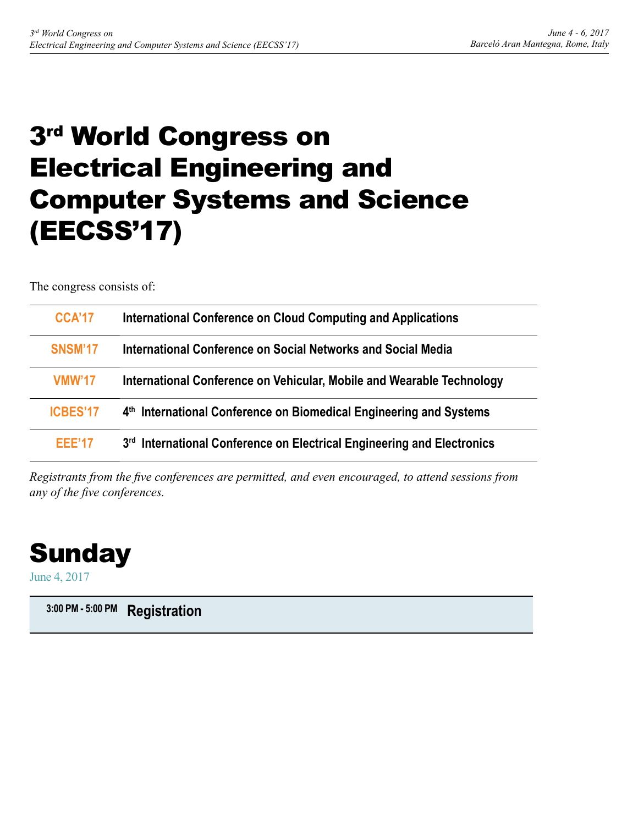# 3rd World Congress on Electrical Engineering and Computer Systems and Science (EECSS'17)

The congress consists of:

| <b>CCA'17</b>   | International Conference on Cloud Computing and Applications                   |
|-----------------|--------------------------------------------------------------------------------|
| <b>SNSM'17</b>  | International Conference on Social Networks and Social Media                   |
| VMW'17          | International Conference on Vehicular, Mobile and Wearable Technology          |
| <b>ICBES'17</b> | 4 <sup>th</sup> International Conference on Biomedical Engineering and Systems |
| <b>FFF'17</b>   | 3rd International Conference on Electrical Engineering and Electronics         |

*Registrants from the five conferences are permitted, and even encouraged, to attend sessions from any of the five conferences.*



June 4, 2017

**3:00 PM - 5:00 PM Registration**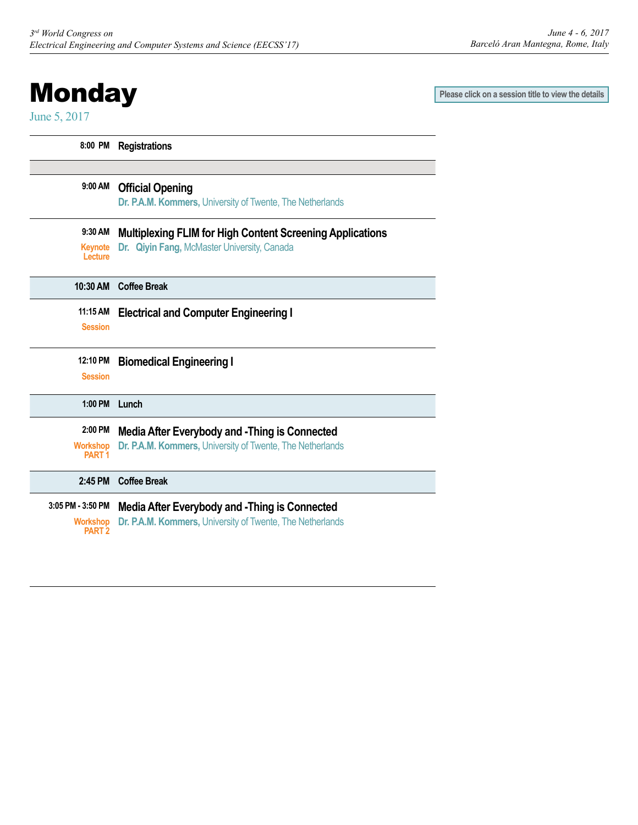# <span id="page-1-0"></span>**Monday**

June 5, 2017

 $\overline{\phantom{a}}$ 

 $\overline{\phantom{a}}$ 

Ī

 $\overline{a}$ 

Ī

 $\overline{\phantom{a}}$ 

**Please click on a session title to view the details**

| 8:00 PM                                            | <b>Registrations</b>                                                                                              |
|----------------------------------------------------|-------------------------------------------------------------------------------------------------------------------|
|                                                    |                                                                                                                   |
| 9:00 AM                                            | <b>Official Opening</b><br>Dr. P.A.M. Kommers, University of Twente, The Netherlands                              |
| 9:30 AM                                            | <b>Multiplexing FLIM for High Content Screening Applications</b>                                                  |
| <b>Keynote</b><br>Lecture                          | Dr. Qiyin Fang, McMaster University, Canada                                                                       |
| 10:30 AM                                           | <b>Coffee Break</b>                                                                                               |
| 11:15 AM                                           | <b>Electrical and Computer Engineering I</b>                                                                      |
| <b>Session</b>                                     |                                                                                                                   |
| 12:10 PM                                           | <b>Biomedical Engineering I</b>                                                                                   |
| <b>Session</b>                                     |                                                                                                                   |
| $1:00$ PM                                          | Lunch                                                                                                             |
| 2:00 PM                                            | Media After Everybody and -Thing is Connected                                                                     |
| <b>Workshop</b><br>PART <sub>1</sub>               | Dr. P.A.M. Kommers, University of Twente, The Netherlands                                                         |
| 2:45 PM                                            | <b>Coffee Break</b>                                                                                               |
| $3:05$ PM - $3:50$ PM<br><b>Workshop</b><br>PART 2 | <b>Media After Everybody and -Thing is Connected</b><br>Dr. P.A.M. Kommers, University of Twente, The Netherlands |
|                                                    |                                                                                                                   |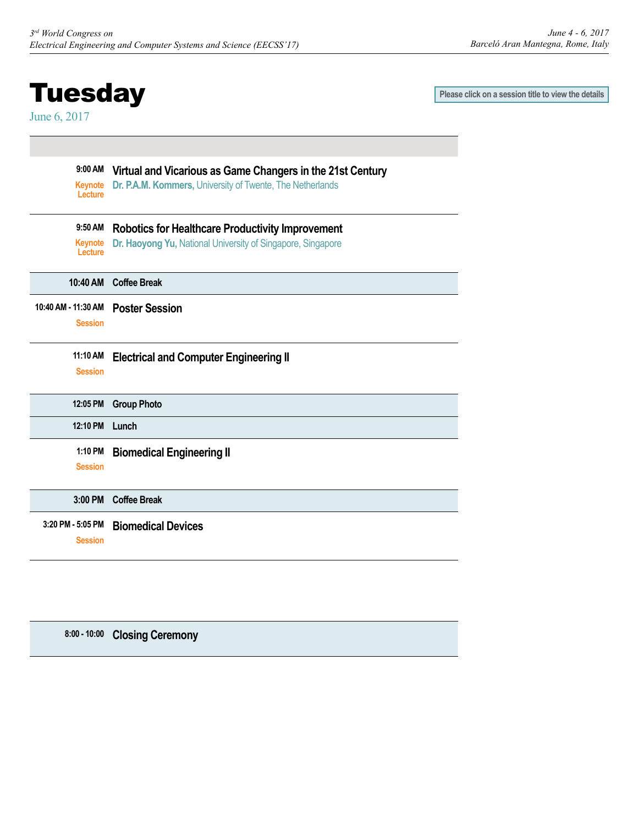## <span id="page-2-0"></span>**Tuesday**

June 6, 2017

**Please click on a session title to view the details**

| 9:00 AM<br>Keynote<br>Lecture | Virtual and Vicarious as Game Changers in the 21st Century<br>Dr. P.A.M. Kommers, University of Twente, The Netherlands |
|-------------------------------|-------------------------------------------------------------------------------------------------------------------------|
| 9:50 AM                       | <b>Robotics for Healthcare Productivity Improvement</b>                                                                 |
| Keynote<br>Lecture            | Dr. Haoyong Yu, National University of Singapore, Singapore                                                             |
| 10:40 AM                      | <b>Coffee Break</b>                                                                                                     |
| 10:40 AM - 11:30 AM           | <b>Poster Session</b>                                                                                                   |
| <b>Session</b>                |                                                                                                                         |
| 11:10 AM                      | <b>Electrical and Computer Engineering II</b>                                                                           |
| <b>Session</b>                |                                                                                                                         |
| 12:05 PM                      | <b>Group Photo</b>                                                                                                      |
| 12:10 PM                      | Lunch                                                                                                                   |
| 1:10 PM                       | <b>Biomedical Engineering II</b>                                                                                        |
| <b>Session</b>                |                                                                                                                         |
| 3:00 PM                       | <b>Coffee Break</b>                                                                                                     |
| 3:20 PM - 5:05 PM             | <b>Biomedical Devices</b>                                                                                               |
|                               |                                                                                                                         |

**8:00 - 10:00 Closing Ceremony**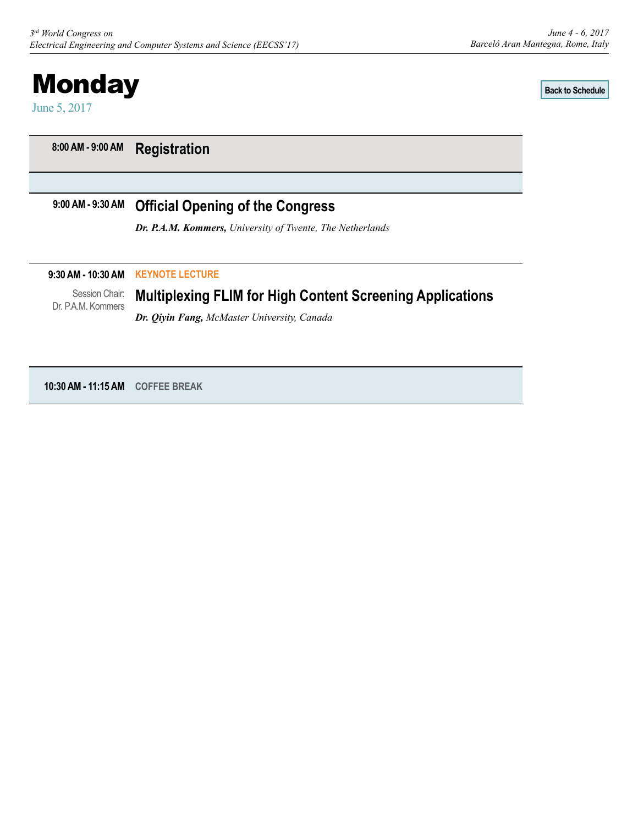<span id="page-3-0"></span>

**[Back to Schedule](#page-1-0)**

**8:00 AM - 9:00 AM Registration**

#### **9:00 AM - 9:30 AM Official Opening of the Congress**

*Dr. P.A.M. Kommers, University of Twente, The Netherlands*

#### **9:30 AM - 10:30 AM KEYNOTE LECTURE**

Session Chair: Dr. P.A.M. Kommers

### **Multiplexing FLIM for High Content Screening Applications**

*Dr. Qiyin Fang, McMaster University, Canada*

**10:30 AM - 11:15 AM COFFEE BREAK**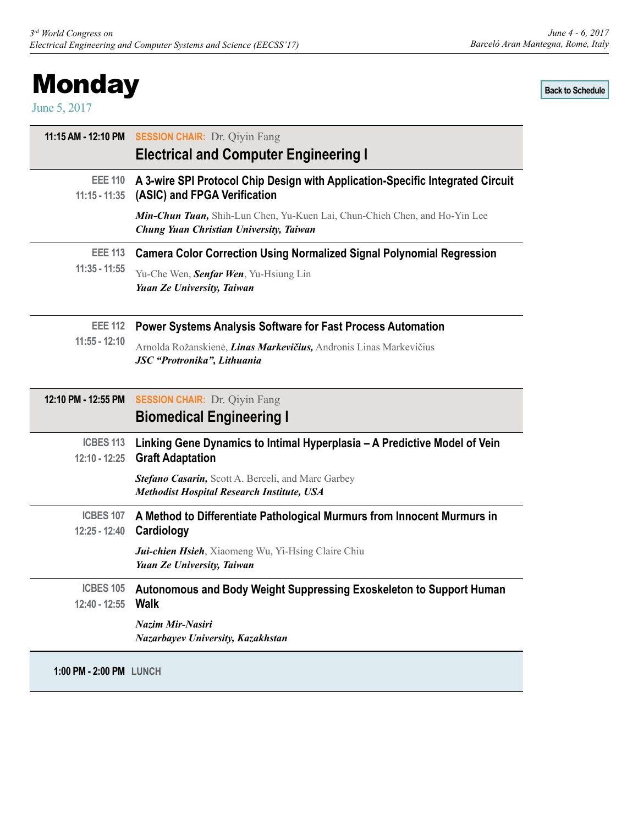# <span id="page-4-0"></span>**Monday**

June 5, 2017

**[Back to Schedule](#page-1-0)**

|                     | 11:15 AM - 12:10 PM SESSION CHAIR: Dr. Qiyin Fang<br><b>Electrical and Computer Engineering I</b>                     |
|---------------------|-----------------------------------------------------------------------------------------------------------------------|
| <b>EEE 110</b>      | A 3-wire SPI Protocol Chip Design with Application-Specific Integrated Circuit                                        |
| $11:15 - 11:35$     | (ASIC) and FPGA Verification                                                                                          |
|                     | Min-Chun Tuan, Shih-Lun Chen, Yu-Kuen Lai, Chun-Chieh Chen, and Ho-Yin Lee<br>Chung Yuan Christian University, Taiwan |
| <b>EEE 113</b>      | <b>Camera Color Correction Using Normalized Signal Polynomial Regression</b>                                          |
| $11:35 - 11:55$     | Yu-Che Wen, Senfar Wen, Yu-Hsiung Lin<br>Yuan Ze University, Taiwan                                                   |
|                     | EEE 112 Power Systems Analysis Software for Fast Process Automation                                                   |
| $11:55 - 12:10$     | Arnolda Rožanskienė, Linas Markevičius, Andronis Linas Markevičius<br>JSC "Protronika", Lithuania                     |
| 12:10 PM - 12:55 PM | <b>SESSION CHAIR:</b> Dr. Qiyin Fang                                                                                  |
|                     | <b>Biomedical Engineering I</b>                                                                                       |
| <b>ICBES 113</b>    | Linking Gene Dynamics to Intimal Hyperplasia – A Predictive Model of Vein                                             |
| $12:10 - 12:25$     | <b>Graft Adaptation</b>                                                                                               |
|                     | Stefano Casarin, Scott A. Berceli, and Marc Garbey<br><b>Methodist Hospital Research Institute, USA</b>               |
| <b>ICBES 107</b>    | A Method to Differentiate Pathological Murmurs from Innocent Murmurs in                                               |
| $12:25 - 12:40$     | Cardiology                                                                                                            |
|                     | Jui-chien Hsieh, Xiaomeng Wu, Yi-Hsing Claire Chiu<br>Yuan Ze University, Taiwan                                      |
| <b>ICBES 105</b>    | Autonomous and Body Weight Suppressing Exoskeleton to Support Human                                                   |
| 12:40 - 12:55       | <b>Walk</b>                                                                                                           |
|                     | Nazim Mir-Nasiri<br>Nazarbayev University, Kazakhstan                                                                 |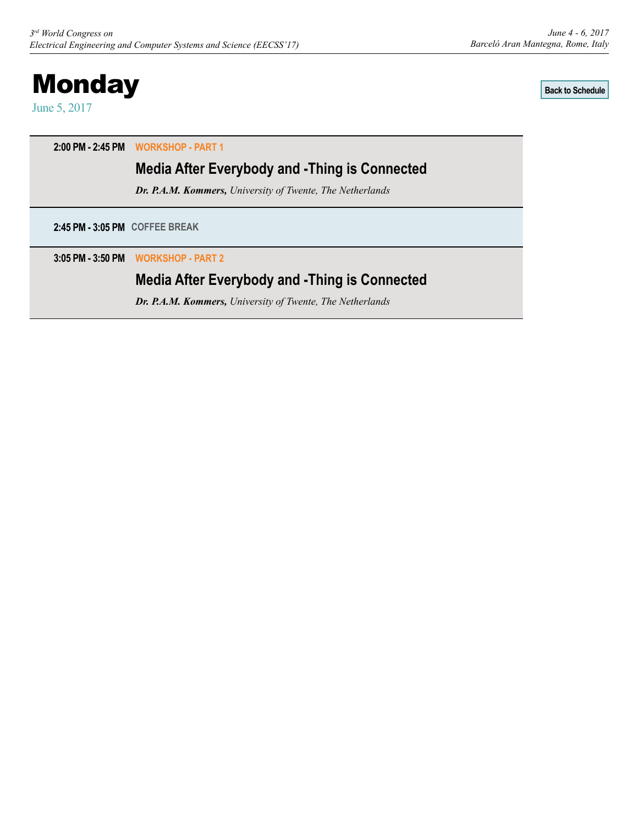# <span id="page-5-0"></span>**Monday**

June 5, 2017

**[Back to Schedule](#page-1-0)**

**2:00 PM - 2:45 PM WORKSHOP - PART 1** 

## **Media After Everybody and -Thing is Connected**

*Dr. P.A.M. Kommers, University of Twente, The Netherlands*

**2:45 PM - 3:05 PM COFFEE BREAK**

**3:05 PM - 3:50 PM WORKSHOP - PART 2**

## **Media After Everybody and -Thing is Connected**

*Dr. P.A.M. Kommers, University of Twente, The Netherlands*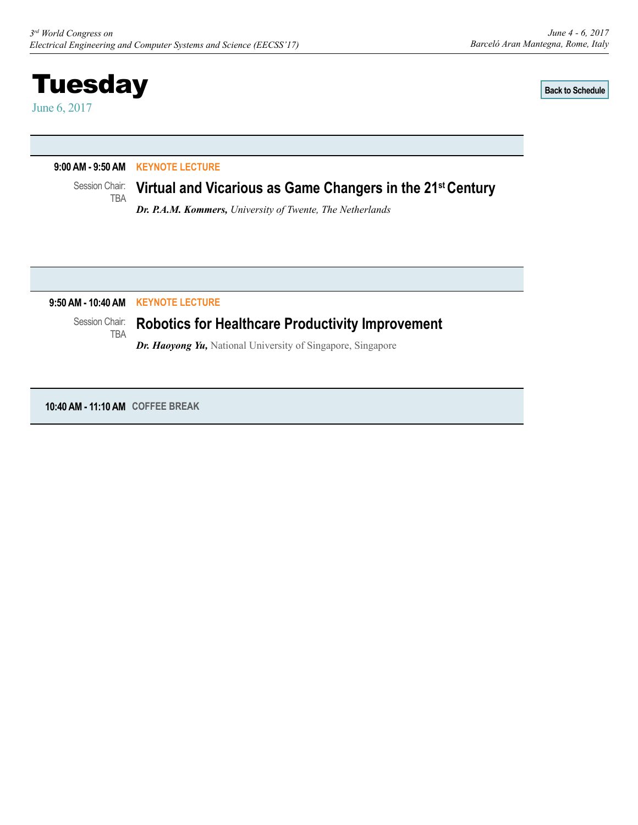**[Back to Schedule](#page-2-0)**

#### <span id="page-6-0"></span>**9:00 AM - 9:50 AM KEYNOTE LECTURE**

Session Chair: TBA

#### **Virtual and Vicarious as Game Changers in the 21st Century**

*Dr. P.A.M. Kommers, University of Twente, The Netherlands*

#### **9:50 AM - 10:40 AM KEYNOTE LECTURE**

#### Session Chair: TBA

## **Robotics for Healthcare Productivity Improvement**

*Dr. Haoyong Yu, National University of Singapore, Singapore* 

**10:40 AM - 11:10 AM COFFEE BREAK**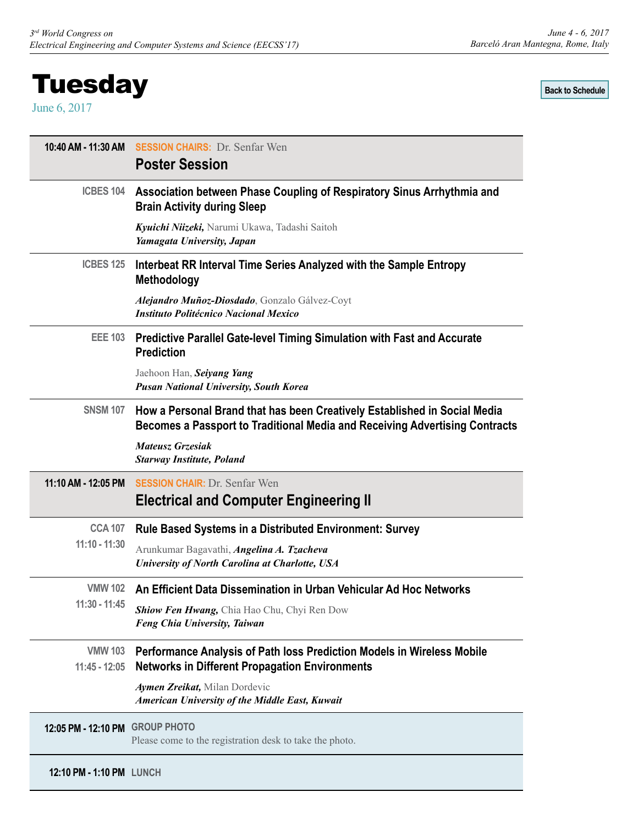<span id="page-7-0"></span>June 6, 2017

*June 4 - 6, 2017 Barceló Aran Mantegna, Rome, Italy*

**[Back to Schedule](#page-2-0)**

| 10:40 AM - 11:30 AM             | <b>SESSION CHAIRS: Dr. Senfar Wen</b><br><b>Poster Session</b>                                                                                           |
|---------------------------------|----------------------------------------------------------------------------------------------------------------------------------------------------------|
| <b>ICBES 104</b>                | Association between Phase Coupling of Respiratory Sinus Arrhythmia and<br><b>Brain Activity during Sleep</b>                                             |
|                                 | Kyuichi Niizeki, Narumi Ukawa, Tadashi Saitoh<br>Yamagata University, Japan                                                                              |
| <b>ICBES 125</b>                | Interbeat RR Interval Time Series Analyzed with the Sample Entropy<br><b>Methodology</b>                                                                 |
|                                 | Alejandro Muñoz-Diosdado, Gonzalo Gálvez-Coyt<br><b>Instituto Politécnico Nacional Mexico</b>                                                            |
| <b>EEE 103</b>                  | Predictive Parallel Gate-level Timing Simulation with Fast and Accurate<br><b>Prediction</b>                                                             |
|                                 | Jaehoon Han, Seiyang Yang<br><b>Pusan National University, South Korea</b>                                                                               |
| <b>SNSM 107</b>                 | How a Personal Brand that has been Creatively Established in Social Media<br>Becomes a Passport to Traditional Media and Receiving Advertising Contracts |
|                                 | <b>Mateusz Grzesiak</b><br><b>Starway Institute, Poland</b>                                                                                              |
| 11:10 AM - 12:05 PM             | <b>SESSION CHAIR: Dr. Senfar Wen</b><br><b>Electrical and Computer Engineering II</b>                                                                    |
| <b>CCA 107</b>                  | <b>Rule Based Systems in a Distributed Environment: Survey</b>                                                                                           |
| $11:10 - 11:30$                 | Arunkumar Bagavathi, Angelina A. Tzacheva<br>University of North Carolina at Charlotte, USA                                                              |
| <b>VMW 102</b>                  | An Efficient Data Dissemination in Urban Vehicular Ad Hoc Networks                                                                                       |
| 11:30 - 11:45                   | Shiow Fen Hwang, Chia Hao Chu, Chyi Ren Dow<br>Feng Chia University, Taiwan                                                                              |
| <b>VMW 103</b><br>11:45 - 12:05 | Performance Analysis of Path loss Prediction Models in Wireless Mobile<br><b>Networks in Different Propagation Environments</b>                          |
|                                 | Aymen Zreikat, Milan Dordevic<br>American University of the Middle East, Kuwait                                                                          |
| 12:05 PM - 12:10 PM GROUP PHOTO | Please come to the registration desk to take the photo.                                                                                                  |
| 12:10 PM - 1:10 PM LUNCH        |                                                                                                                                                          |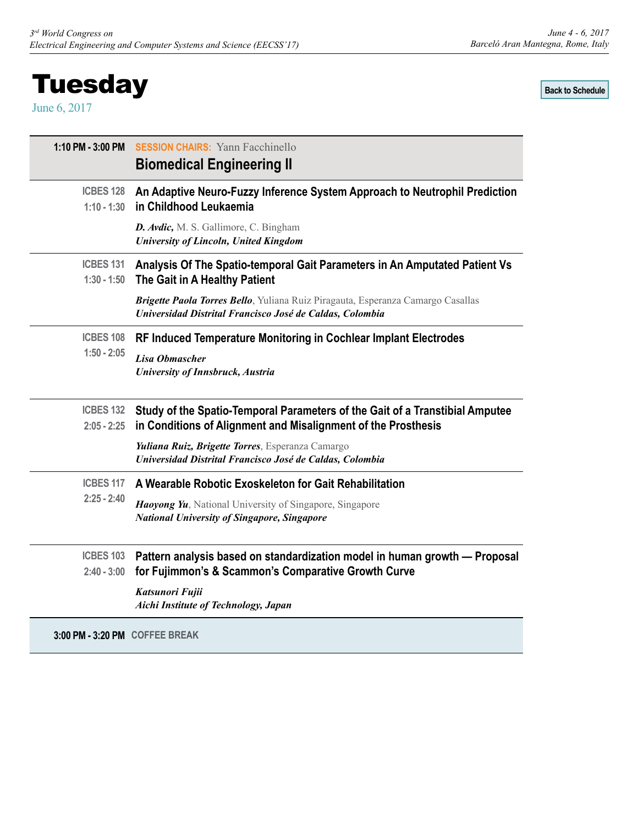# <span id="page-8-0"></span>**Tuesday**

June 6, 2017

*June 4 - 6, 2017 Barceló Aran Mantegna, Rome, Italy*

**[Back to Schedule](#page-2-0)**

| 1:10 PM - 3:00 PM                 | <b>SESSION CHAIRS:</b> Yann Facchinello<br><b>Biomedical Engineering II</b>                                                                   |
|-----------------------------------|-----------------------------------------------------------------------------------------------------------------------------------------------|
| <b>ICBES 128</b><br>$1:10 - 1:30$ | An Adaptive Neuro-Fuzzy Inference System Approach to Neutrophil Prediction<br>in Childhood Leukaemia                                          |
|                                   | D. Avdic, M. S. Gallimore, C. Bingham<br>University of Lincoln, United Kingdom                                                                |
| ICBES 131<br>$1:30 - 1:50$        | Analysis Of The Spatio-temporal Gait Parameters in An Amputated Patient Vs<br>The Gait in A Healthy Patient                                   |
|                                   | Brigette Paola Torres Bello, Yuliana Ruiz Piragauta, Esperanza Camargo Casallas<br>Universidad Distrital Francisco José de Caldas, Colombia   |
| <b>ICBES 108</b>                  | RF Induced Temperature Monitoring in Cochlear Implant Electrodes                                                                              |
| $1:50 - 2:05$                     | Lisa Obmascher<br>University of Innsbruck, Austria                                                                                            |
| <b>ICBES 132</b><br>$2:05 - 2:25$ | Study of the Spatio-Temporal Parameters of the Gait of a Transtibial Amputee<br>in Conditions of Alignment and Misalignment of the Prosthesis |
|                                   | Yuliana Ruiz, Brigette Torres, Esperanza Camargo<br>Universidad Distrital Francisco José de Caldas, Colombia                                  |
| <b>ICBES 117</b>                  | A Wearable Robotic Exoskeleton for Gait Rehabilitation                                                                                        |
| $2:25 - 2:40$                     | Haoyong Yu, National University of Singapore, Singapore<br><b>National University of Singapore, Singapore</b>                                 |
| <b>ICBES 103</b><br>$2:40 - 3:00$ | Pattern analysis based on standardization model in human growth - Proposal                                                                    |
|                                   | for Fujimmon's & Scammon's Comparative Growth Curve<br>Katsunori Fujii<br>Aichi Institute of Technology, Japan                                |
| 3:00 PM - 3:20 PM COFFEE BREAK    |                                                                                                                                               |